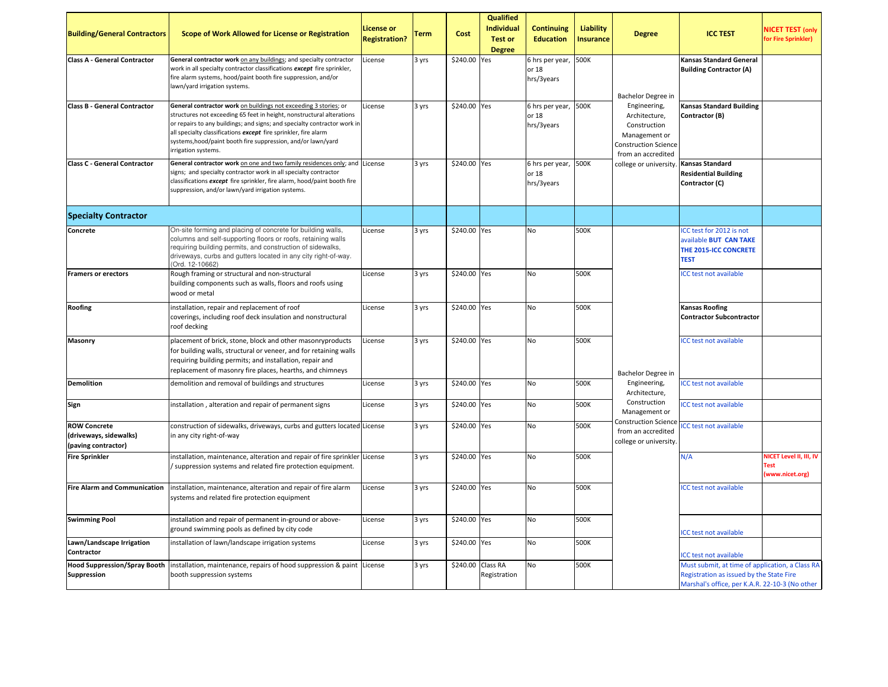| <b>Building/General Contractors</b>                                  | Scope of Work Allowed for License or Registration                                                                                                                                                                                                                                                                                                                               | License or<br><b>Registration?</b> | <b>Term</b> | Cost              | <b>Qualified</b><br><b>Individual</b><br><b>Test or</b><br><b>Degree</b> | <b>Continuing</b><br><b>Education</b>  | <b>Liability</b><br><b>Insurance</b> | <b>Degree</b>                                                                                                       | <b>ICC TEST</b>                                                                                                                               | <b>NICET TEST (only</b><br>for Fire Sprinkler)            |
|----------------------------------------------------------------------|---------------------------------------------------------------------------------------------------------------------------------------------------------------------------------------------------------------------------------------------------------------------------------------------------------------------------------------------------------------------------------|------------------------------------|-------------|-------------------|--------------------------------------------------------------------------|----------------------------------------|--------------------------------------|---------------------------------------------------------------------------------------------------------------------|-----------------------------------------------------------------------------------------------------------------------------------------------|-----------------------------------------------------------|
| <b>Class A - General Contractor</b>                                  | General contractor work on any buildings; and specialty contractor<br>work in all specialty contractor classifications except fire sprinkler,<br>fire alarm systems, hood/paint booth fire suppression, and/or<br>lawn/yard irrigation systems.                                                                                                                                 | License                            | 3 yrs       | \$240.00 Yes      |                                                                          | 6 hrs per year,<br>or 18<br>hrs/3years | 500K                                 | Bachelor Degree in                                                                                                  | Kansas Standard General<br><b>Building Contractor (A)</b>                                                                                     |                                                           |
| <b>Class B - General Contractor</b>                                  | General contractor work on buildings not exceeding 3 stories; or<br>structures not exceeding 65 feet in height, nonstructural alterations<br>or repairs to any buildings; and signs; and specialty contractor work in<br>all specialty classifications except fire sprinkler, fire alarm<br>systems, hood/paint booth fire suppression, and/or lawn/yard<br>irrigation systems. | License                            | 3 yrs       | \$240.00 Yes      |                                                                          | 6 hrs per year,<br>or 18<br>hrs/3years | 500K                                 | Engineering,<br>Architecture,<br>Construction<br>Management or<br><b>Construction Science</b><br>from an accredited | <b>Kansas Standard Building</b><br>Contractor (B)                                                                                             |                                                           |
| <b>Class C - General Contractor</b>                                  | General contractor work on one and two family residences only; and License<br>signs; and specialty contractor work in all specialty contractor<br>classifications except fire sprinkler, fire alarm, hood/paint booth fire<br>suppression, and/or lawn/yard irrigation systems.                                                                                                 |                                    | 3 yrs       | \$240.00 Yes      |                                                                          | 6 hrs per year,<br>or 18<br>hrs/3years | 500K                                 | college or university.                                                                                              | <b>Kansas Standard</b><br><b>Residential Building</b><br>Contractor (C)                                                                       |                                                           |
| <b>Specialty Contractor</b>                                          |                                                                                                                                                                                                                                                                                                                                                                                 |                                    |             |                   |                                                                          |                                        |                                      |                                                                                                                     |                                                                                                                                               |                                                           |
| Concrete                                                             | On-site forming and placing of concrete for building walls,<br>columns and self-supporting floors or roofs, retaining walls<br>requiring building permits, and construction of sidewalks,<br>driveways, curbs and gutters located in any city right-of-way.<br>(Ord. 12-10662)                                                                                                  | License                            | 3 yrs       | \$240.00 Yes      |                                                                          | No                                     | 500K                                 |                                                                                                                     | ICC test for 2012 is not<br>available <b>BUT CAN TAKE</b><br>THE 2015-ICC CONCRETE<br><b>TEST</b>                                             |                                                           |
| <b>Framers or erectors</b>                                           | Rough framing or structural and non-structural<br>building components such as walls, floors and roofs using<br>wood or metal                                                                                                                                                                                                                                                    | License                            | 3 yrs       | \$240.00 Yes      |                                                                          | No                                     | 500K                                 |                                                                                                                     | <b>ICC test not available</b>                                                                                                                 |                                                           |
| Roofing                                                              | installation, repair and replacement of roof<br>coverings, including roof deck insulation and nonstructural<br>roof decking                                                                                                                                                                                                                                                     | License                            | 3 yrs       | \$240.00 Yes      |                                                                          | No                                     | 500K                                 |                                                                                                                     | <b>Kansas Roofing</b><br><b>Contractor Subcontractor</b>                                                                                      |                                                           |
| Masonry                                                              | placement of brick, stone, block and other masonryproducts<br>for building walls, structural or veneer, and for retaining walls<br>requiring building permits; and installation, repair and<br>replacement of masonry fire places, hearths, and chimneys                                                                                                                        | License                            | 3 yrs       | \$240.00 Yes      |                                                                          | No                                     | 500K                                 | Bachelor Degree in                                                                                                  | <b>ICC test not available</b>                                                                                                                 |                                                           |
| <b>Demolition</b>                                                    | demolition and removal of buildings and structures                                                                                                                                                                                                                                                                                                                              | License                            | 3 yrs       | \$240.00 Yes      |                                                                          | No                                     | 500K                                 | Engineering,<br>Architecture,                                                                                       | <b>ICC test not available</b>                                                                                                                 |                                                           |
| Sign                                                                 | installation, alteration and repair of permanent signs                                                                                                                                                                                                                                                                                                                          | License                            | 3 yrs       | \$240.00 Yes      |                                                                          | No                                     | 500K                                 | Construction<br>Management or                                                                                       | <b>ICC test not available</b>                                                                                                                 |                                                           |
| <b>ROW Concrete</b><br>(driveways, sidewalks)<br>(paving contractor) | construction of sidewalks, driveways, curbs and gutters located License<br>in any city right-of-way                                                                                                                                                                                                                                                                             |                                    | 3 yrs       | \$240.00 Yes      |                                                                          | No                                     | 500K                                 | <b>Construction Science</b><br>from an accredited<br>college or university.                                         | <b>ICC test not available</b>                                                                                                                 |                                                           |
| <b>Fire Sprinkler</b>                                                | installation, maintenance, alteration and repair of fire sprinkler License<br>/ suppression systems and related fire protection equipment.                                                                                                                                                                                                                                      |                                    | 3 yrs       | \$240.00 Yes      |                                                                          | <b>No</b>                              | 500K                                 |                                                                                                                     | N/A                                                                                                                                           | NICET Level II, III, IV<br><b>Test</b><br>(www.nicet.org) |
| <b>Fire Alarm and Communication</b>                                  | installation, maintenance, alteration and repair of fire alarm<br>systems and related fire protection equipment                                                                                                                                                                                                                                                                 | License                            | 3 yrs       | \$240.00 Yes      |                                                                          | No                                     | 500K                                 |                                                                                                                     | <b>ICC test not available</b>                                                                                                                 |                                                           |
| <b>Swimming Pool</b>                                                 | installation and repair of permanent in-ground or above-<br>ground swimming pools as defined by city code                                                                                                                                                                                                                                                                       | License                            | 3 yrs       | \$240.00 Yes      |                                                                          | No                                     | 500K                                 |                                                                                                                     | ICC test not available                                                                                                                        |                                                           |
| Lawn/Landscape Irrigation<br>Contractor                              | installation of lawn/landscape irrigation systems                                                                                                                                                                                                                                                                                                                               | License                            | 3 yrs       | \$240.00 Yes      |                                                                          | No                                     | 500K                                 |                                                                                                                     | <b>ICC test not available</b>                                                                                                                 |                                                           |
| <b>Hood Suppression/Spray Booth</b><br><b>Suppression</b>            | installation, maintenance, repairs of hood suppression & paint License<br>booth suppression systems                                                                                                                                                                                                                                                                             |                                    | 3 yrs       | \$240.00 Class RA | Registration                                                             | No                                     | 500K                                 |                                                                                                                     | Must submit, at time of application, a Class RA<br>Registration as issued by the State Fire<br>Marshal's office, per K.A.R. 22-10-3 (No other |                                                           |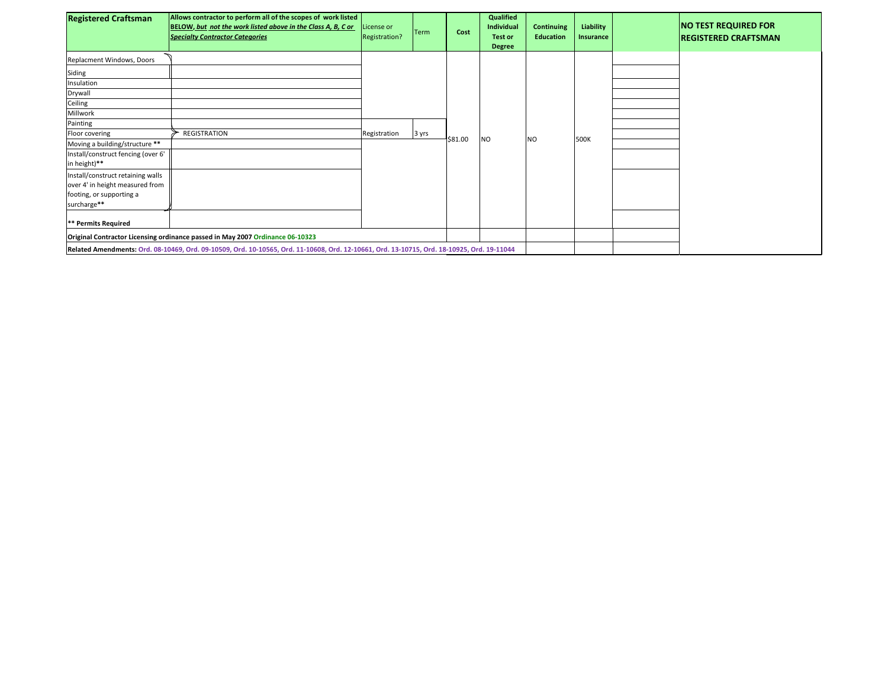| <b>Registered Craftsman</b>                                                                                                                | Allows contractor to perform all of the scopes of work listed<br>BELOW, but not the work listed above in the Class A, B, C or<br><b>Specialty Contractor Categories</b> | License or<br>Registration? | <b>Term</b> | Cost    | Qualified<br>Individual<br><b>Test or</b><br><b>Degree</b> | <b>Continuing</b><br>Education | Liability<br>Insurance |  | <b>NO TEST REQUIRED FOR</b><br><b>IREGISTERED CRAFTSMAN</b> |
|--------------------------------------------------------------------------------------------------------------------------------------------|-------------------------------------------------------------------------------------------------------------------------------------------------------------------------|-----------------------------|-------------|---------|------------------------------------------------------------|--------------------------------|------------------------|--|-------------------------------------------------------------|
| Replacment Windows, Doors                                                                                                                  |                                                                                                                                                                         |                             |             |         |                                                            |                                |                        |  |                                                             |
| Siding                                                                                                                                     |                                                                                                                                                                         |                             |             |         |                                                            |                                |                        |  |                                                             |
| Insulation                                                                                                                                 |                                                                                                                                                                         |                             |             |         |                                                            |                                |                        |  |                                                             |
| Drywall                                                                                                                                    |                                                                                                                                                                         |                             |             |         |                                                            |                                |                        |  |                                                             |
| Ceiling                                                                                                                                    |                                                                                                                                                                         |                             |             |         |                                                            |                                |                        |  |                                                             |
| Millwork                                                                                                                                   |                                                                                                                                                                         |                             |             |         |                                                            |                                |                        |  |                                                             |
| Painting                                                                                                                                   |                                                                                                                                                                         |                             |             |         |                                                            |                                |                        |  |                                                             |
| Floor covering                                                                                                                             | REGISTRATION                                                                                                                                                            | Registration                | 3 yrs       | \$81.00 | <b>NO</b>                                                  | <b>NO</b>                      | 500K                   |  |                                                             |
| Moving a building/structure **                                                                                                             |                                                                                                                                                                         |                             |             |         |                                                            |                                |                        |  |                                                             |
| Install/construct fencing (over 6'                                                                                                         |                                                                                                                                                                         |                             |             |         |                                                            |                                |                        |  |                                                             |
| in height)**                                                                                                                               |                                                                                                                                                                         |                             |             |         |                                                            |                                |                        |  |                                                             |
| Install/construct retaining walls                                                                                                          |                                                                                                                                                                         |                             |             |         |                                                            |                                |                        |  |                                                             |
| over 4' in height measured from                                                                                                            |                                                                                                                                                                         |                             |             |         |                                                            |                                |                        |  |                                                             |
| footing, or supporting a                                                                                                                   |                                                                                                                                                                         |                             |             |         |                                                            |                                |                        |  |                                                             |
| surcharge**                                                                                                                                |                                                                                                                                                                         |                             |             |         |                                                            |                                |                        |  |                                                             |
| ** Permits Required                                                                                                                        |                                                                                                                                                                         |                             |             |         |                                                            |                                |                        |  |                                                             |
| Original Contractor Licensing ordinance passed in May 2007 Ordinance 06-10323                                                              |                                                                                                                                                                         |                             |             |         |                                                            |                                |                        |  |                                                             |
| Related Amendments: Ord. 08-10469, Ord. 09-10509, Ord. 10-10565, Ord. 11-10608, Ord. 12-10661, Ord. 13-10715, Ord. 18-10925, Ord. 19-11044 |                                                                                                                                                                         |                             |             |         |                                                            |                                |                        |  |                                                             |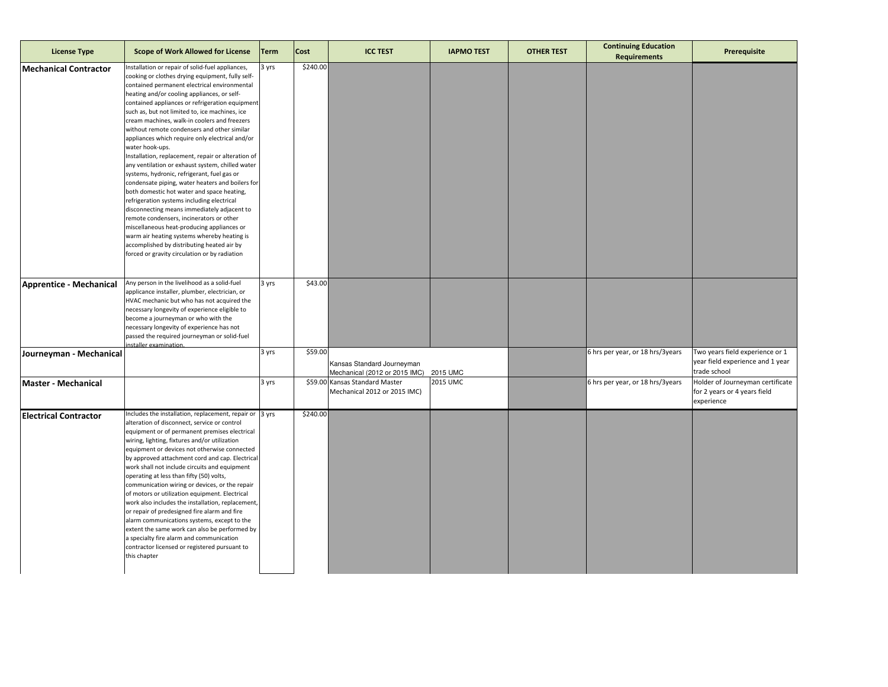| <b>License Type</b>            | <b>Scope of Work Allowed for License</b>                                                                                                                                                                                                                                                                                                                                                                                                                                                                                                                                                                                                                                                                                                                                                                                                                                                                                                                                                                                                                                      | <b>Term</b> | <b>Cost</b> | <b>ICC TEST</b>                                                | <b>IAPMO TEST</b> | <b>OTHER TEST</b> | <b>Continuing Education</b><br><b>Requirements</b> | Prerequisite                                                                        |
|--------------------------------|-------------------------------------------------------------------------------------------------------------------------------------------------------------------------------------------------------------------------------------------------------------------------------------------------------------------------------------------------------------------------------------------------------------------------------------------------------------------------------------------------------------------------------------------------------------------------------------------------------------------------------------------------------------------------------------------------------------------------------------------------------------------------------------------------------------------------------------------------------------------------------------------------------------------------------------------------------------------------------------------------------------------------------------------------------------------------------|-------------|-------------|----------------------------------------------------------------|-------------------|-------------------|----------------------------------------------------|-------------------------------------------------------------------------------------|
| <b>Mechanical Contractor</b>   | Installation or repair of solid-fuel appliances,<br>cooking or clothes drying equipment, fully self-<br>contained permanent electrical environmental<br>heating and/or cooling appliances, or self-<br>contained appliances or refrigeration equipment<br>such as, but not limited to, ice machines, ice<br>cream machines, walk-in coolers and freezers<br>without remote condensers and other similar<br>appliances which require only electrical and/or<br>water hook-ups.<br>Installation, replacement, repair or alteration of<br>any ventilation or exhaust system, chilled water<br>systems, hydronic, refrigerant, fuel gas or<br>condensate piping, water heaters and boilers for<br>both domestic hot water and space heating,<br>refrigeration systems including electrical<br>disconnecting means immediately adjacent to<br>remote condensers, incinerators or other<br>miscellaneous heat-producing appliances or<br>warm air heating systems whereby heating is<br>accomplished by distributing heated air by<br>forced or gravity circulation or by radiation | 3 yrs       | \$240.00    |                                                                |                   |                   |                                                    |                                                                                     |
| <b>Apprentice - Mechanical</b> | Any person in the livelihood as a solid-fuel<br>applicance installer, plumber, electrician, or<br>HVAC mechanic but who has not acquired the<br>necessary longevity of experience eligible to<br>become a journeyman or who with the<br>necessary longevity of experience has not<br>passed the required journeyman or solid-fuel<br>staller examination                                                                                                                                                                                                                                                                                                                                                                                                                                                                                                                                                                                                                                                                                                                      | 3 yrs       | \$43.00     |                                                                |                   |                   |                                                    |                                                                                     |
| Journeyman - Mechanical        |                                                                                                                                                                                                                                                                                                                                                                                                                                                                                                                                                                                                                                                                                                                                                                                                                                                                                                                                                                                                                                                                               | 3 yrs       | \$59.00     | Kansas Standard Journeyman<br>Mechanical (2012 or 2015 IMC)    | 2015 UMC          |                   | 6 hrs per year, or 18 hrs/3years                   | Two years field experience or 1<br>year field experience and 1 year<br>trade school |
| <b>Master - Mechanical</b>     |                                                                                                                                                                                                                                                                                                                                                                                                                                                                                                                                                                                                                                                                                                                                                                                                                                                                                                                                                                                                                                                                               | 3 yrs       |             | \$59.00 Kansas Standard Master<br>Mechanical 2012 or 2015 IMC) | 2015 UMC          |                   | 6 hrs per year, or 18 hrs/3years                   | Holder of Journeyman certificate<br>for 2 years or 4 years field<br>experience      |
| <b>Electrical Contractor</b>   | Includes the installation, replacement, repair or 3 yrs<br>alteration of disconnect, service or control<br>equipment or of permanent premises electrical<br>wiring, lighting, fixtures and/or utilization<br>equipment or devices not otherwise connected<br>by approved attachment cord and cap. Electrical<br>work shall not include circuits and equipment<br>operating at less than fifty (50) volts,<br>communication wiring or devices, or the repair<br>of motors or utilization equipment. Electrical<br>work also includes the installation, replacement,<br>or repair of predesigned fire alarm and fire<br>alarm communications systems, except to the<br>extent the same work can also be performed by<br>a specialty fire alarm and communication<br>contractor licensed or registered pursuant to<br>this chapter                                                                                                                                                                                                                                               |             | \$240.00    |                                                                |                   |                   |                                                    |                                                                                     |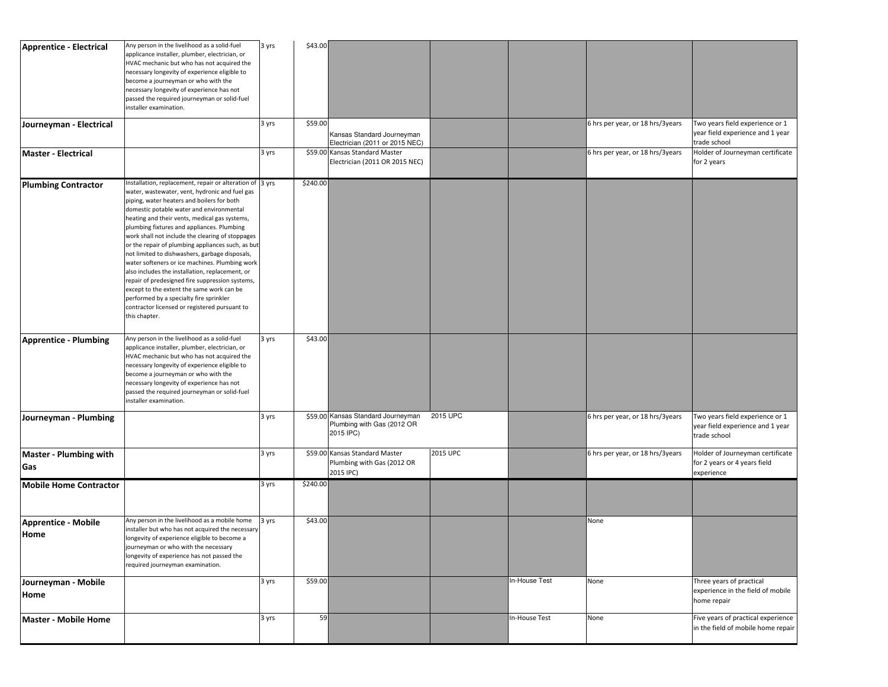| Apprentice - Electrical              | Any person in the livelihood as a solid-fuel<br>applicance installer, plumber, electrician, or<br>HVAC mechanic but who has not acquired the<br>necessary longevity of experience eligible to<br>become a journeyman or who with the<br>necessary longevity of experience has not<br>passed the required journeyman or solid-fuel<br>installer examination.                                                                                                                                                                                                                                                                                                                                                                                                                     | 3 yrs | \$43.00  |                                                                               |          |               |                                  |                                                                                     |
|--------------------------------------|---------------------------------------------------------------------------------------------------------------------------------------------------------------------------------------------------------------------------------------------------------------------------------------------------------------------------------------------------------------------------------------------------------------------------------------------------------------------------------------------------------------------------------------------------------------------------------------------------------------------------------------------------------------------------------------------------------------------------------------------------------------------------------|-------|----------|-------------------------------------------------------------------------------|----------|---------------|----------------------------------|-------------------------------------------------------------------------------------|
| Journeyman - Electrical              |                                                                                                                                                                                                                                                                                                                                                                                                                                                                                                                                                                                                                                                                                                                                                                                 | 3 yrs | \$59.00  | Kansas Standard Journeyman<br>Electrician (2011 or 2015 NEC)                  |          |               | 6 hrs per year, or 18 hrs/3years | Two years field experience or 1<br>year field experience and 1 year<br>trade school |
| <b>Master - Electrical</b>           |                                                                                                                                                                                                                                                                                                                                                                                                                                                                                                                                                                                                                                                                                                                                                                                 | 3 yrs |          | \$59.00 Kansas Standard Master<br>Electrician (2011 OR 2015 NEC)              |          |               | 6 hrs per year, or 18 hrs/3years | Holder of Journeyman certificate<br>for 2 years                                     |
| <b>Plumbing Contractor</b>           | nstallation, replacement, repair or alteration of 3 yrs<br>water, wastewater, vent, hydronic and fuel gas<br>piping, water heaters and boilers for both<br>domestic potable water and environmental<br>heating and their vents, medical gas systems,<br>plumbing fixtures and appliances. Plumbing<br>work shall not include the clearing of stoppages<br>or the repair of plumbing appliances such, as but<br>not limited to dishwashers, garbage disposals,<br>water softeners or ice machines. Plumbing work<br>also includes the installation, replacement, or<br>repair of predesigned fire suppression systems,<br>except to the extent the same work can be<br>performed by a specialty fire sprinkler<br>contractor licensed or registered pursuant to<br>this chapter. |       | \$240.00 |                                                                               |          |               |                                  |                                                                                     |
| Apprentice - Plumbing                | Any person in the livelihood as a solid-fuel<br>applicance installer, plumber, electrician, or<br>HVAC mechanic but who has not acquired the<br>necessary longevity of experience eligible to<br>become a journeyman or who with the<br>necessary longevity of experience has not<br>passed the required journeyman or solid-fuel<br>installer examination.                                                                                                                                                                                                                                                                                                                                                                                                                     | 3 yrs | \$43.00  |                                                                               |          |               |                                  |                                                                                     |
| Journeyman - Plumbing                |                                                                                                                                                                                                                                                                                                                                                                                                                                                                                                                                                                                                                                                                                                                                                                                 | 3 yrs |          | \$59.00 Kansas Standard Journeyman<br>Plumbing with Gas (2012 OR<br>2015 IPC) | 2015 UPC |               | 6 hrs per year, or 18 hrs/3years | Two years field experience or 1<br>year field experience and 1 year<br>trade school |
| <b>Master - Plumbing with</b><br>Gas |                                                                                                                                                                                                                                                                                                                                                                                                                                                                                                                                                                                                                                                                                                                                                                                 | 3 yrs |          | \$59.00 Kansas Standard Master<br>Plumbing with Gas (2012 OR<br>2015 IPC)     | 2015 UPC |               | 6 hrs per year, or 18 hrs/3years | Holder of Journeyman certificate<br>for 2 years or 4 years field<br>experience      |
| <b>Mobile Home Contractor</b>        |                                                                                                                                                                                                                                                                                                                                                                                                                                                                                                                                                                                                                                                                                                                                                                                 | 3 yrs | \$240.00 |                                                                               |          |               |                                  |                                                                                     |
| <b>Apprentice - Mobile</b><br>Home   | Any person in the livelihood as a mobile home<br>installer but who has not acquired the necessary<br>longevity of experience eligible to become a<br>journeyman or who with the necessary<br>longevity of experience has not passed the<br>required journeyman examination.                                                                                                                                                                                                                                                                                                                                                                                                                                                                                                     | 3 yrs | \$43.00  |                                                                               |          |               | None                             |                                                                                     |
| Journeyman - Mobile<br>Home          |                                                                                                                                                                                                                                                                                                                                                                                                                                                                                                                                                                                                                                                                                                                                                                                 | 3 yrs | \$59.00  |                                                                               |          | In-House Test | None                             | Three years of practical<br>experience in the field of mobile<br>home repair        |
| <b>Master - Mobile Home</b>          |                                                                                                                                                                                                                                                                                                                                                                                                                                                                                                                                                                                                                                                                                                                                                                                 | 3 yrs | 59       |                                                                               |          | In-House Test | None                             | Five years of practical experience<br>in the field of mobile home repair            |